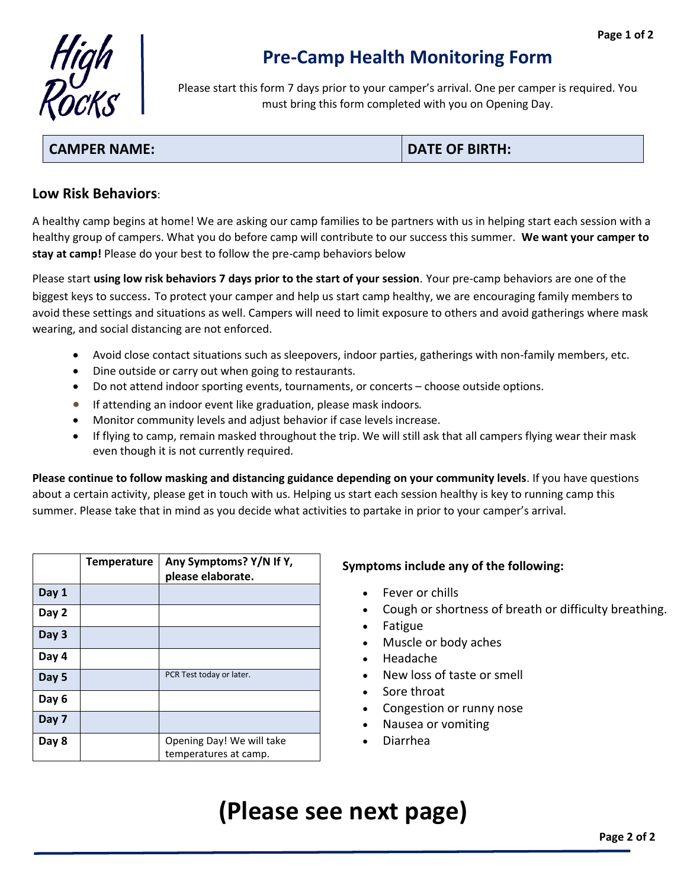

## **Pre-Camp Health Monitoring Form**

Please start this form 7 days prior to your camper's arrival. One per camper is required. You must bring this form completed with you on Opening Day.

### **CAMPER NAME: DATE OF BIRTH:**

#### **Low Risk Behaviors**:

A healthy camp begins at home! We are asking our camp families to be partners with us in helping start each session with a healthy group of campers. What you do before camp will contribute to our success this summer. **We want your camper to stay at camp!** Please do your best to follow the pre-camp behaviors below

Please start **using low risk behaviors 7 days prior to the start of your session**. Your pre-camp behaviors are one of the biggest keys to success. To protect your camper and help us start camp healthy, we are encouraging family members to avoid these settings and situations as well. Campers will need to limit exposure to others and avoid gatherings where mask wearing, and social distancing are not enforced.

- Avoid close contact situations such as sleepovers, indoor parties, gatherings with non-family members, etc.
- Dine outside or carry out when going to restaurants.
- Do not attend indoor sporting events, tournaments, or concerts choose outside options.
- If attending an indoor event like graduation, please mask indoors.
- Monitor [community levels](https://www.cdc.gov/coronavirus/2019-ncov/science/community-levels.html) and adjust behavior if case levels increase.
- If flying to camp, remain masked throughout the trip. We will still ask that all campers flying wear their mask even though it is not currently required.

**Please continue to follow masking and distancing guidance depending on your community levels**. If you have questions about a certain activity, please get in touch with us. Helping us start each session healthy is key to running camp this summer. Please take that in mind as you decide what activities to partake in prior to your camper's arrival.

|       | <b>Temperature</b> | Any Symptoms? Y/N If Y,<br>please elaborate. |
|-------|--------------------|----------------------------------------------|
| Day 1 |                    |                                              |
| Day 2 |                    |                                              |
| Day 3 |                    |                                              |
| Day 4 |                    |                                              |
| Day 5 |                    | PCR Test today or later.                     |
| Day 6 |                    |                                              |
| Day 7 |                    |                                              |
| Day 8 |                    | Opening Day! We will take                    |
|       |                    | temperatures at camp.                        |

#### **Symptoms include any of the following:**

- Fever or chills
- Cough or shortness of breath or difficulty breathing.
- Fatigue
- Muscle or body aches
- Headache
- New loss of taste or smell
- Sore throat
- Congestion or runny nose
- Nausea or vomiting
- Diarrhea

# **(Please see next page)**